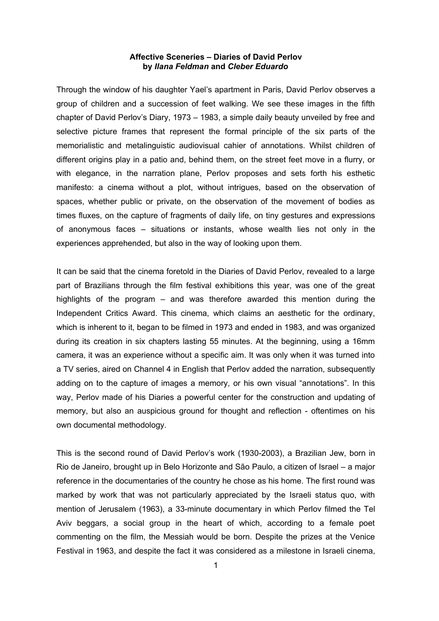## **Affective Sceneries – Diaries of David Perlov by** *Ilana Feldman* **and** *Cleber Eduardo*

Through the window of his daughter Yael's apartment in Paris, David Perlov observes a group of children and a succession of feet walking. We see these images in the fifth chapter of David Perlov's Diary, 1973 – 1983, a simple daily beauty unveiled by free and selective picture frames that represent the formal principle of the six parts of the memorialistic and metalinguistic audiovisual cahier of annotations. Whilst children of different origins play in a patio and, behind them, on the street feet move in a flurry, or with elegance, in the narration plane, Perlov proposes and sets forth his esthetic manifesto: a cinema without a plot, without intrigues, based on the observation of spaces, whether public or private, on the observation of the movement of bodies as times fluxes, on the capture of fragments of daily life, on tiny gestures and expressions of anonymous faces – situations or instants, whose wealth lies not only in the experiences apprehended, but also in the way of looking upon them.

It can be said that the cinema foretold in the Diaries of David Perlov, revealed to a large part of Brazilians through the film festival exhibitions this year, was one of the great highlights of the program – and was therefore awarded this mention during the Independent Critics Award. This cinema, which claims an aesthetic for the ordinary, which is inherent to it, began to be filmed in 1973 and ended in 1983, and was organized during its creation in six chapters lasting 55 minutes. At the beginning, using a 16mm camera, it was an experience without a specific aim. It was only when it was turned into a TV series, aired on Channel 4 in English that Perlov added the narration, subsequently adding on to the capture of images a memory, or his own visual "annotations". In this way, Perlov made of his Diaries a powerful center for the construction and updating of memory, but also an auspicious ground for thought and reflection - oftentimes on his own documental methodology.

This is the second round of David Perlov's work (1930-2003), a Brazilian Jew, born in Rio de Janeiro, brought up in Belo Horizonte and São Paulo, a citizen of Israel – a major reference in the documentaries of the country he chose as his home. The first round was marked by work that was not particularly appreciated by the Israeli status quo, with mention of Jerusalem (1963), a 33-minute documentary in which Perlov filmed the Tel Aviv beggars, a social group in the heart of which, according to a female poet commenting on the film, the Messiah would be born. Despite the prizes at the Venice Festival in 1963, and despite the fact it was considered as a milestone in Israeli cinema,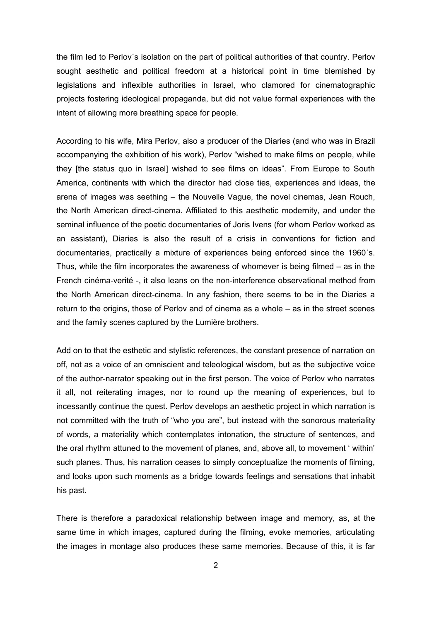the film led to Perlov´s isolation on the part of political authorities of that country. Perlov sought aesthetic and political freedom at a historical point in time blemished by legislations and inflexible authorities in Israel, who clamored for cinematographic projects fostering ideological propaganda, but did not value formal experiences with the intent of allowing more breathing space for people.

According to his wife, Mira Perlov, also a producer of the Diaries (and who was in Brazil accompanying the exhibition of his work), Perlov "wished to make films on people, while they [the status quo in Israel] wished to see films on ideas". From Europe to South America, continents with which the director had close ties, experiences and ideas, the arena of images was seething – the Nouvelle Vague, the novel cinemas, Jean Rouch, the North American direct-cinema. Affiliated to this aesthetic modernity, and under the seminal influence of the poetic documentaries of Joris Ivens (for whom Perlov worked as an assistant), Diaries is also the result of a crisis in conventions for fiction and documentaries, practically a mixture of experiences being enforced since the 1960´s. Thus, while the film incorporates the awareness of whomever is being filmed – as in the French cinéma-verité -, it also leans on the non-interference observational method from the North American direct-cinema. In any fashion, there seems to be in the Diaries a return to the origins, those of Perlov and of cinema as a whole – as in the street scenes and the family scenes captured by the Lumière brothers.

Add on to that the esthetic and stylistic references, the constant presence of narration on off, not as a voice of an omniscient and teleological wisdom, but as the subjective voice of the author-narrator speaking out in the first person. The voice of Perlov who narrates it all, not reiterating images, nor to round up the meaning of experiences, but to incessantly continue the quest. Perlov develops an aesthetic project in which narration is not committed with the truth of "who you are", but instead with the sonorous materiality of words, a materiality which contemplates intonation, the structure of sentences, and the oral rhythm attuned to the movement of planes, and, above all, to movement ' within' such planes. Thus, his narration ceases to simply conceptualize the moments of filming, and looks upon such moments as a bridge towards feelings and sensations that inhabit his past.

There is therefore a paradoxical relationship between image and memory, as, at the same time in which images, captured during the filming, evoke memories, articulating the images in montage also produces these same memories. Because of this, it is far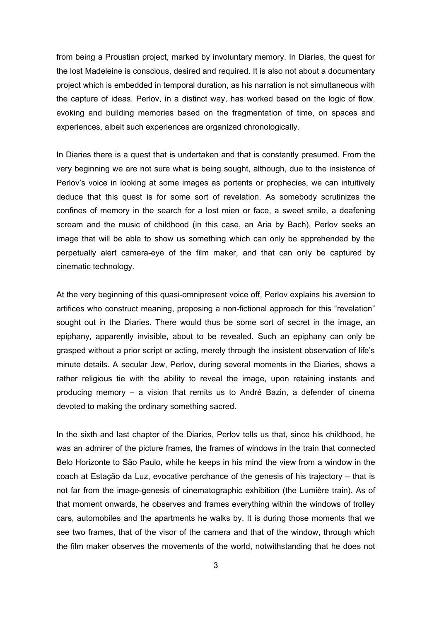from being a Proustian project, marked by involuntary memory. In Diaries, the quest for the lost Madeleine is conscious, desired and required. It is also not about a documentary project which is embedded in temporal duration, as his narration is not simultaneous with the capture of ideas. Perlov, in a distinct way, has worked based on the logic of flow, evoking and building memories based on the fragmentation of time, on spaces and experiences, albeit such experiences are organized chronologically.

In Diaries there is a quest that is undertaken and that is constantly presumed. From the very beginning we are not sure what is being sought, although, due to the insistence of Perlov's voice in looking at some images as portents or prophecies, we can intuitively deduce that this quest is for some sort of revelation. As somebody scrutinizes the confines of memory in the search for a lost mien or face, a sweet smile, a deafening scream and the music of childhood (in this case, an Aria by Bach), Perlov seeks an image that will be able to show us something which can only be apprehended by the perpetually alert camera-eye of the film maker, and that can only be captured by cinematic technology.

At the very beginning of this quasi-omnipresent voice off, Perlov explains his aversion to artifices who construct meaning, proposing a non-fictional approach for this "revelation" sought out in the Diaries. There would thus be some sort of secret in the image, an epiphany, apparently invisible, about to be revealed. Such an epiphany can only be grasped without a prior script or acting, merely through the insistent observation of life's minute details. A secular Jew, Perlov, during several moments in the Diaries, shows a rather religious tie with the ability to reveal the image, upon retaining instants and producing memory – a vision that remits us to André Bazin, a defender of cinema devoted to making the ordinary something sacred.

In the sixth and last chapter of the Diaries, Perlov tells us that, since his childhood, he was an admirer of the picture frames, the frames of windows in the train that connected Belo Horizonte to São Paulo, while he keeps in his mind the view from a window in the coach at Estação da Luz, evocative perchance of the genesis of his trajectory – that is not far from the image-genesis of cinematographic exhibition (the Lumière train). As of that moment onwards, he observes and frames everything within the windows of trolley cars, automobiles and the apartments he walks by. It is during those moments that we see two frames, that of the visor of the camera and that of the window, through which the film maker observes the movements of the world, notwithstanding that he does not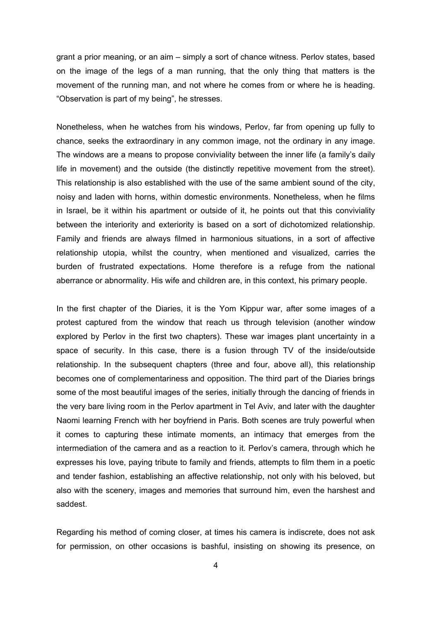grant a prior meaning, or an aim – simply a sort of chance witness. Perlov states, based on the image of the legs of a man running, that the only thing that matters is the movement of the running man, and not where he comes from or where he is heading. "Observation is part of my being", he stresses.

Nonetheless, when he watches from his windows, Perlov, far from opening up fully to chance, seeks the extraordinary in any common image, not the ordinary in any image. The windows are a means to propose conviviality between the inner life (a family's daily life in movement) and the outside (the distinctly repetitive movement from the street). This relationship is also established with the use of the same ambient sound of the city, noisy and laden with horns, within domestic environments. Nonetheless, when he films in Israel, be it within his apartment or outside of it, he points out that this conviviality between the interiority and exteriority is based on a sort of dichotomized relationship. Family and friends are always filmed in harmonious situations, in a sort of affective relationship utopia, whilst the country, when mentioned and visualized, carries the burden of frustrated expectations. Home therefore is a refuge from the national aberrance or abnormality. His wife and children are, in this context, his primary people.

In the first chapter of the Diaries, it is the Yom Kippur war, after some images of a protest captured from the window that reach us through television (another window explored by Perlov in the first two chapters). These war images plant uncertainty in a space of security. In this case, there is a fusion through TV of the inside/outside relationship. In the subsequent chapters (three and four, above all), this relationship becomes one of complementariness and opposition. The third part of the Diaries brings some of the most beautiful images of the series, initially through the dancing of friends in the very bare living room in the Perlov apartment in Tel Aviv, and later with the daughter Naomi learning French with her boyfriend in Paris. Both scenes are truly powerful when it comes to capturing these intimate moments, an intimacy that emerges from the intermediation of the camera and as a reaction to it. Perlov's camera, through which he expresses his love, paying tribute to family and friends, attempts to film them in a poetic and tender fashion, establishing an affective relationship, not only with his beloved, but also with the scenery, images and memories that surround him, even the harshest and saddest.

Regarding his method of coming closer, at times his camera is indiscrete, does not ask for permission, on other occasions is bashful, insisting on showing its presence, on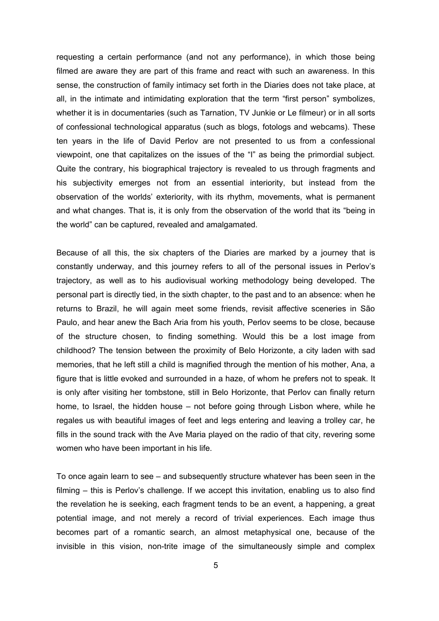requesting a certain performance (and not any performance), in which those being filmed are aware they are part of this frame and react with such an awareness. In this sense, the construction of family intimacy set forth in the Diaries does not take place, at all, in the intimate and intimidating exploration that the term "first person" symbolizes, whether it is in documentaries (such as Tarnation, TV Junkie or Le filmeur) or in all sorts of confessional technological apparatus (such as blogs, fotologs and webcams). These ten years in the life of David Perlov are not presented to us from a confessional viewpoint, one that capitalizes on the issues of the "I" as being the primordial subject. Quite the contrary, his biographical trajectory is revealed to us through fragments and his subjectivity emerges not from an essential interiority, but instead from the observation of the worlds' exteriority, with its rhythm, movements, what is permanent and what changes. That is, it is only from the observation of the world that its "being in the world" can be captured, revealed and amalgamated.

Because of all this, the six chapters of the Diaries are marked by a journey that is constantly underway, and this journey refers to all of the personal issues in Perlov's trajectory, as well as to his audiovisual working methodology being developed. The personal part is directly tied, in the sixth chapter, to the past and to an absence: when he returns to Brazil, he will again meet some friends, revisit affective sceneries in São Paulo, and hear anew the Bach Aria from his youth, Perlov seems to be close, because of the structure chosen, to finding something. Would this be a lost image from childhood? The tension between the proximity of Belo Horizonte, a city laden with sad memories, that he left still a child is magnified through the mention of his mother, Ana, a figure that is little evoked and surrounded in a haze, of whom he prefers not to speak. It is only after visiting her tombstone, still in Belo Horizonte, that Perlov can finally return home, to Israel, the hidden house – not before going through Lisbon where, while he regales us with beautiful images of feet and legs entering and leaving a trolley car, he fills in the sound track with the Ave Maria played on the radio of that city, revering some women who have been important in his life.

To once again learn to see – and subsequently structure whatever has been seen in the filming – this is Perlov's challenge. If we accept this invitation, enabling us to also find the revelation he is seeking, each fragment tends to be an event, a happening, a great potential image, and not merely a record of trivial experiences. Each image thus becomes part of a romantic search, an almost metaphysical one, because of the invisible in this vision, non-trite image of the simultaneously simple and complex